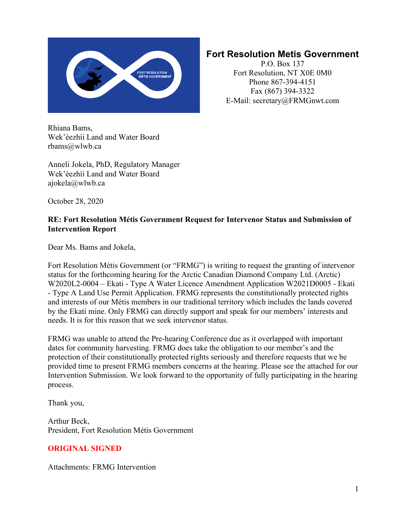

### **Fort Resolution Metis Government**

P.O. Box 137 Fort Resolution, NT X0E 0M0 Phone 867-394-4151 Fax (867) 394-3322 E-Mail: secretary@FRMGnwt.com

Rhiana Bams, Wek'èezhìi Land and Water Board rbams@wlwb.ca

Anneli Jokela, PhD, Regulatory Manager Wek'èezhìi Land and Water Board ajokela@wlwb.ca

October 28, 2020

#### **RE: Fort Resolution Métis Government Request for Intervenor Status and Submission of Intervention Report**

Dear Ms. Bams and Jokela,

Fort Resolution Métis Government (or "FRMG") is writing to request the granting of intervenor status for the forthcoming hearing for the Arctic Canadian Diamond Company Ltd. (Arctic) W2020L2-0004 – Ekati - Type A Water Licence Amendment Application W2021D0005 - Ekati - Type A Land Use Permit Application. FRMG represents the constitutionally protected rights and interests of our Métis members in our traditional territory which includes the lands covered by the Ekati mine. Only FRMG can directly support and speak for our members' interests and needs. It is for this reason that we seek intervenor status.

FRMG was unable to attend the Pre-hearing Conference due as it overlapped with important dates for community harvesting. FRMG does take the obligation to our member's and the protection of their constitutionally protected rights seriously and therefore requests that we be provided time to present FRMG members concerns at the hearing. Please see the attached for our Intervention Submission. We look forward to the opportunity of fully participating in the hearing process.

Thank you,

Arthur Beck, President, Fort Resolution Métis Government

#### **ORIGINAL SIGNED**

Attachments: FRMG Intervention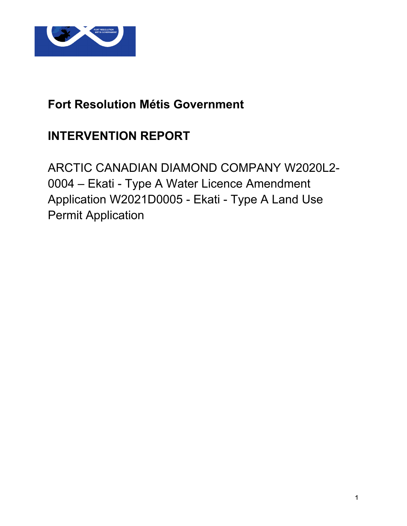

### **Fort Resolution Métis Government**

### **INTERVENTION REPORT**

ARCTIC CANADIAN DIAMOND COMPANY W2020L2- 0004 – Ekati - Type A Water Licence Amendment Application W2021D0005 - Ekati - Type A Land Use Permit Application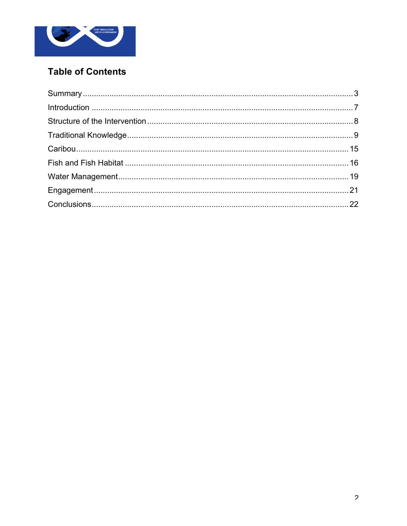

### **Table of Contents**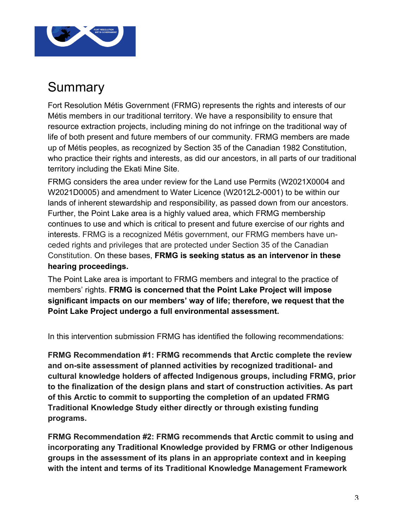

## Summary

Fort Resolution Métis Government (FRMG) represents the rights and interests of our Métis members in our traditional territory. We have a responsibility to ensure that resource extraction projects, including mining do not infringe on the traditional way of life of both present and future members of our community. FRMG members are made up of Métis peoples, as recognized by Section 35 of the Canadian 1982 Constitution, who practice their rights and interests, as did our ancestors, in all parts of our traditional territory including the Ekati Mine Site.

FRMG considers the area under review for the Land use Permits (W2021X0004 and W2021D0005) and amendment to Water Licence (W2012L2-0001) to be within our lands of inherent stewardship and responsibility, as passed down from our ancestors. Further, the Point Lake area is a highly valued area, which FRMG membership continues to use and which is critical to present and future exercise of our rights and interests. FRMG is a recognized Métis government, our FRMG members have unceded rights and privileges that are protected under Section 35 of the Canadian Constitution. On these bases, **FRMG is seeking status as an intervenor in these hearing proceedings.**

The Point Lake area is important to FRMG members and integral to the practice of members' rights. **FRMG is concerned that the Point Lake Project will impose significant impacts on our members' way of life; therefore, we request that the Point Lake Project undergo a full environmental assessment.**

In this intervention submission FRMG has identified the following recommendations:

**FRMG Recommendation #1: FRMG recommends that Arctic complete the review and on-site assessment of planned activities by recognized traditional- and cultural knowledge holders of affected Indigenous groups, including FRMG, prior to the finalization of the design plans and start of construction activities. As part of this Arctic to commit to supporting the completion of an updated FRMG Traditional Knowledge Study either directly or through existing funding programs.**

**FRMG Recommendation #2: FRMG recommends that Arctic commit to using and incorporating any Traditional Knowledge provided by FRMG or other Indigenous groups in the assessment of its plans in an appropriate context and in keeping with the intent and terms of its Traditional Knowledge Management Framework**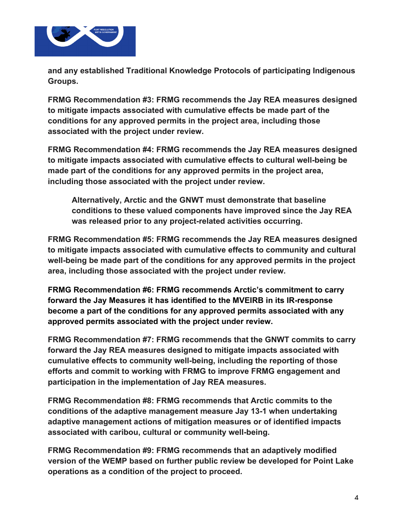

**and any established Traditional Knowledge Protocols of participating Indigenous Groups.**

**FRMG Recommendation #3: FRMG recommends the Jay REA measures designed to mitigate impacts associated with cumulative effects be made part of the conditions for any approved permits in the project area, including those associated with the project under review.**

**FRMG Recommendation #4: FRMG recommends the Jay REA measures designed to mitigate impacts associated with cumulative effects to cultural well-being be made part of the conditions for any approved permits in the project area, including those associated with the project under review.**

**Alternatively, Arctic and the GNWT must demonstrate that baseline conditions to these valued components have improved since the Jay REA was released prior to any project-related activities occurring.**

**FRMG Recommendation #5: FRMG recommends the Jay REA measures designed to mitigate impacts associated with cumulative effects to community and cultural well-being be made part of the conditions for any approved permits in the project area, including those associated with the project under review.**

**FRMG Recommendation #6: FRMG recommends Arctic's commitment to carry forward the Jay Measures it has identified to the MVEIRB in its IR-response become a part of the conditions for any approved permits associated with any approved permits associated with the project under review.**

**FRMG Recommendation #7: FRMG recommends that the GNWT commits to carry forward the Jay REA measures designed to mitigate impacts associated with cumulative effects to community well-being, including the reporting of those efforts and commit to working with FRMG to improve FRMG engagement and participation in the implementation of Jay REA measures.**

**FRMG Recommendation #8: FRMG recommends that Arctic commits to the conditions of the adaptive management measure Jay 13-1 when undertaking adaptive management actions of mitigation measures or of identified impacts associated with caribou, cultural or community well-being.**

**FRMG Recommendation #9: FRMG recommends that an adaptively modified version of the WEMP based on further public review be developed for Point Lake operations as a condition of the project to proceed.**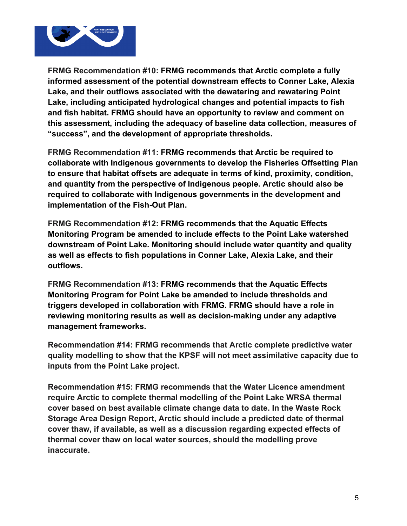

**FRMG Recommendation #10: FRMG recommends that Arctic complete a fully informed assessment of the potential downstream effects to Conner Lake, Alexia Lake, and their outflows associated with the dewatering and rewatering Point Lake, including anticipated hydrological changes and potential impacts to fish and fish habitat. FRMG should have an opportunity to review and comment on this assessment, including the adequacy of baseline data collection, measures of "success", and the development of appropriate thresholds.** 

**FRMG Recommendation #11: FRMG recommends that Arctic be required to collaborate with Indigenous governments to develop the Fisheries Offsetting Plan to ensure that habitat offsets are adequate in terms of kind, proximity, condition, and quantity from the perspective of Indigenous people. Arctic should also be required to collaborate with Indigenous governments in the development and implementation of the Fish-Out Plan.** 

**FRMG Recommendation #12: FRMG recommends that the Aquatic Effects Monitoring Program be amended to include effects to the Point Lake watershed downstream of Point Lake. Monitoring should include water quantity and quality as well as effects to fish populations in Conner Lake, Alexia Lake, and their outflows.**

**FRMG Recommendation #13: FRMG recommends that the Aquatic Effects Monitoring Program for Point Lake be amended to include thresholds and triggers developed in collaboration with FRMG. FRMG should have a role in reviewing monitoring results as well as decision-making under any adaptive management frameworks.** 

**Recommendation #14: FRMG recommends that Arctic complete predictive water quality modelling to show that the KPSF will not meet assimilative capacity due to inputs from the Point Lake project.**

**Recommendation #15: FRMG recommends that the Water Licence amendment require Arctic to complete thermal modelling of the Point Lake WRSA thermal cover based on best available climate change data to date. In the Waste Rock Storage Area Design Report, Arctic should include a predicted date of thermal cover thaw, if available, as well as a discussion regarding expected effects of thermal cover thaw on local water sources, should the modelling prove inaccurate.**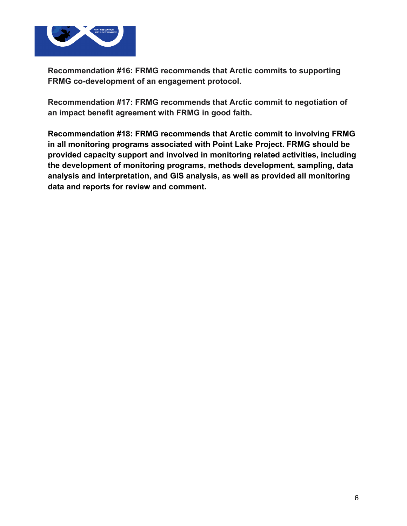

**Recommendation #16: FRMG recommends that Arctic commits to supporting FRMG co-development of an engagement protocol.**

**Recommendation #17: FRMG recommends that Arctic commit to negotiation of an impact benefit agreement with FRMG in good faith.**

**Recommendation #18: FRMG recommends that Arctic commit to involving FRMG in all monitoring programs associated with Point Lake Project. FRMG should be provided capacity support and involved in monitoring related activities, including the development of monitoring programs, methods development, sampling, data analysis and interpretation, and GIS analysis, as well as provided all monitoring data and reports for review and comment.**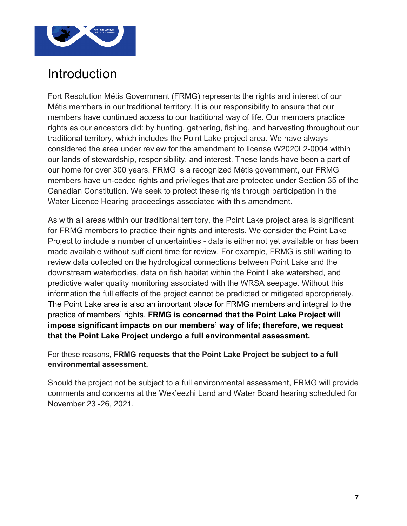

## **Introduction**

Fort Resolution Métis Government (FRMG) represents the rights and interest of our Métis members in our traditional territory. It is our responsibility to ensure that our members have continued access to our traditional way of life. Our members practice rights as our ancestors did: by hunting, gathering, fishing, and harvesting throughout our traditional territory, which includes the Point Lake project area. We have always considered the area under review for the amendment to license W2020L2-0004 within our lands of stewardship, responsibility, and interest. These lands have been a part of our home for over 300 years. FRMG is a recognized Métis government, our FRMG members have un-ceded rights and privileges that are protected under Section 35 of the Canadian Constitution. We seek to protect these rights through participation in the Water Licence Hearing proceedings associated with this amendment.

As with all areas within our traditional territory, the Point Lake project area is significant for FRMG members to practice their rights and interests. We consider the Point Lake Project to include a number of uncertainties - data is either not yet available or has been made available without sufficient time for review. For example, FRMG is still waiting to review data collected on the hydrological connections between Point Lake and the downstream waterbodies, data on fish habitat within the Point Lake watershed, and predictive water quality monitoring associated with the WRSA seepage. Without this information the full effects of the project cannot be predicted or mitigated appropriately. The Point Lake area is also an important place for FRMG members and integral to the practice of members' rights. **FRMG is concerned that the Point Lake Project will impose significant impacts on our members' way of life; therefore, we request that the Point Lake Project undergo a full environmental assessment.**

For these reasons, **FRMG requests that the Point Lake Project be subject to a full environmental assessment.** 

Should the project not be subject to a full environmental assessment, FRMG will provide comments and concerns at the Wek'eezhi Land and Water Board hearing scheduled for November 23 -26, 2021.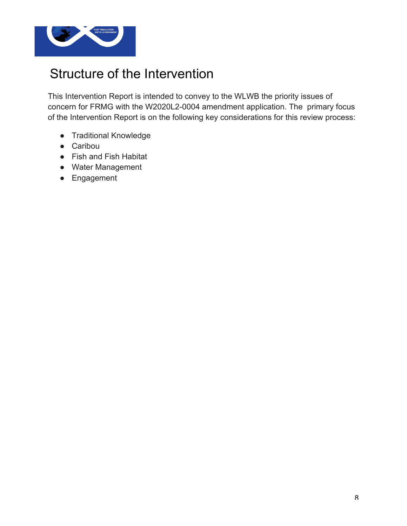

## Structure of the Intervention

This Intervention Report is intended to convey to the WLWB the priority issues of concern for FRMG with the W2020L2-0004 amendment application. The primary focus of the Intervention Report is on the following key considerations for this review process:

- Traditional Knowledge
- Caribou
- Fish and Fish Habitat
- Water Management
- Engagement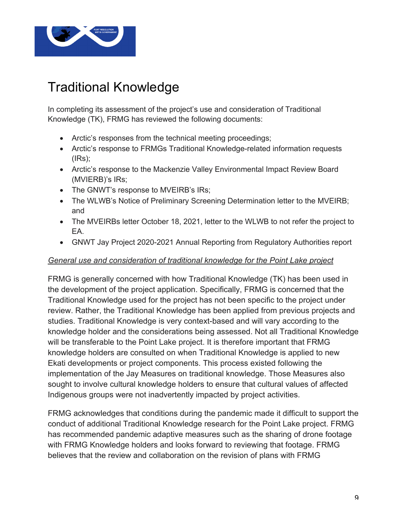

# Traditional Knowledge

In completing its assessment of the project's use and consideration of Traditional Knowledge (TK), FRMG has reviewed the following documents:

- Arctic's responses from the technical meeting proceedings;
- Arctic's response to FRMGs Traditional Knowledge-related information requests  $(IRS)$ ;
- Arctic's response to the Mackenzie Valley Environmental Impact Review Board (MVIERB)'s IRs;
- The GNWT's response to MVEIRB's IRs;
- The WLWB's Notice of Preliminary Screening Determination letter to the MVEIRB; and
- The MVEIRBs letter October 18, 2021, letter to the WLWB to not refer the project to EA.
- GNWT Jay Project 2020-2021 Annual Reporting from Regulatory Authorities report

#### *General use and consideration of traditional knowledge for the Point Lake project*

FRMG is generally concerned with how Traditional Knowledge (TK) has been used in the development of the project application. Specifically, FRMG is concerned that the Traditional Knowledge used for the project has not been specific to the project under review. Rather, the Traditional Knowledge has been applied from previous projects and studies. Traditional Knowledge is very context-based and will vary according to the knowledge holder and the considerations being assessed. Not all Traditional Knowledge will be transferable to the Point Lake project. It is therefore important that FRMG knowledge holders are consulted on when Traditional Knowledge is applied to new Ekati developments or project components. This process existed following the implementation of the Jay Measures on traditional knowledge. Those Measures also sought to involve cultural knowledge holders to ensure that cultural values of affected Indigenous groups were not inadvertently impacted by project activities.

FRMG acknowledges that conditions during the pandemic made it difficult to support the conduct of additional Traditional Knowledge research for the Point Lake project. FRMG has recommended pandemic adaptive measures such as the sharing of drone footage with FRMG Knowledge holders and looks forward to reviewing that footage. FRMG believes that the review and collaboration on the revision of plans with FRMG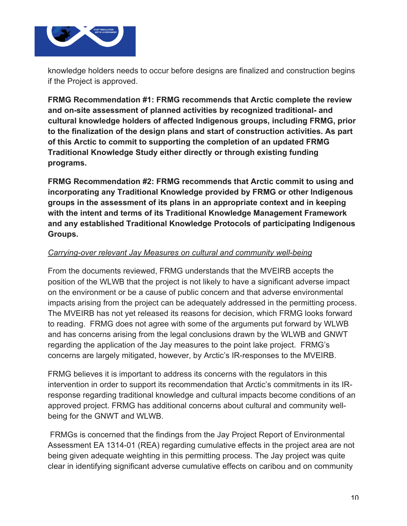

knowledge holders needs to occur before designs are finalized and construction begins if the Project is approved.

**FRMG Recommendation #1: FRMG recommends that Arctic complete the review and on-site assessment of planned activities by recognized traditional- and cultural knowledge holders of affected Indigenous groups, including FRMG, prior to the finalization of the design plans and start of construction activities. As part of this Arctic to commit to supporting the completion of an updated FRMG Traditional Knowledge Study either directly or through existing funding programs.**

**FRMG Recommendation #2: FRMG recommends that Arctic commit to using and incorporating any Traditional Knowledge provided by FRMG or other Indigenous groups in the assessment of its plans in an appropriate context and in keeping with the intent and terms of its Traditional Knowledge Management Framework and any established Traditional Knowledge Protocols of participating Indigenous Groups.**

#### *Carrying-over relevant Jay Measures on cultural and community well-being*

From the documents reviewed, FRMG understands that the MVEIRB accepts the position of the WLWB that the project is not likely to have a significant adverse impact on the environment or be a cause of public concern and that adverse environmental impacts arising from the project can be adequately addressed in the permitting process. The MVEIRB has not yet released its reasons for decision, which FRMG looks forward to reading. FRMG does not agree with some of the arguments put forward by WLWB and has concerns arising from the legal conclusions drawn by the WLWB and GNWT regarding the application of the Jay measures to the point lake project. FRMG's concerns are largely mitigated, however, by Arctic's IR-responses to the MVEIRB.

FRMG believes it is important to address its concerns with the regulators in this intervention in order to support its recommendation that Arctic's commitments in its IRresponse regarding traditional knowledge and cultural impacts become conditions of an approved project. FRMG has additional concerns about cultural and community wellbeing for the GNWT and WLWB.

FRMGs is concerned that the findings from the Jay Project Report of Environmental Assessment EA 1314-01 (REA) regarding cumulative effects in the project area are not being given adequate weighting in this permitting process. The Jay project was quite clear in identifying significant adverse cumulative effects on caribou and on community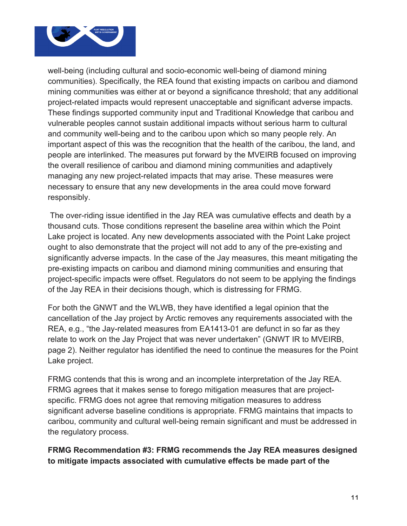

well-being (including cultural and socio-economic well-being of diamond mining communities). Specifically, the REA found that existing impacts on caribou and diamond mining communities was either at or beyond a significance threshold; that any additional project-related impacts would represent unacceptable and significant adverse impacts. These findings supported community input and Traditional Knowledge that caribou and vulnerable peoples cannot sustain additional impacts without serious harm to cultural and community well-being and to the caribou upon which so many people rely. An important aspect of this was the recognition that the health of the caribou, the land, and people are interlinked. The measures put forward by the MVEIRB focused on improving the overall resilience of caribou and diamond mining communities and adaptively managing any new project-related impacts that may arise. These measures were necessary to ensure that any new developments in the area could move forward responsibly.

The over-riding issue identified in the Jay REA was cumulative effects and death by a thousand cuts. Those conditions represent the baseline area within which the Point Lake project is located. Any new developments associated with the Point Lake project ought to also demonstrate that the project will not add to any of the pre-existing and significantly adverse impacts. In the case of the Jay measures, this meant mitigating the pre-existing impacts on caribou and diamond mining communities and ensuring that project-specific impacts were offset. Regulators do not seem to be applying the findings of the Jay REA in their decisions though, which is distressing for FRMG.

For both the GNWT and the WLWB, they have identified a legal opinion that the cancellation of the Jay project by Arctic removes any requirements associated with the REA, e.g., "the Jay-related measures from EA1413-01 are defunct in so far as they relate to work on the Jay Project that was never undertaken" (GNWT IR to MVEIRB, page 2). Neither regulator has identified the need to continue the measures for the Point Lake project.

FRMG contends that this is wrong and an incomplete interpretation of the Jay REA. FRMG agrees that it makes sense to forego mitigation measures that are projectspecific. FRMG does not agree that removing mitigation measures to address significant adverse baseline conditions is appropriate. FRMG maintains that impacts to caribou, community and cultural well-being remain significant and must be addressed in the regulatory process.

**FRMG Recommendation #3: FRMG recommends the Jay REA measures designed to mitigate impacts associated with cumulative effects be made part of the**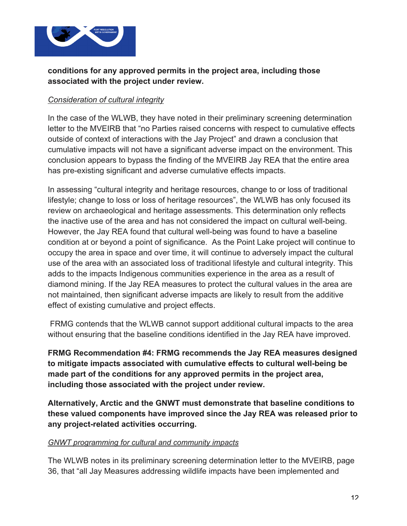

#### **conditions for any approved permits in the project area, including those associated with the project under review.**

#### *Consideration of cultural integrity*

In the case of the WLWB, they have noted in their preliminary screening determination letter to the MVEIRB that "no Parties raised concerns with respect to cumulative effects outside of context of interactions with the Jay Project" and drawn a conclusion that cumulative impacts will not have a significant adverse impact on the environment. This conclusion appears to bypass the finding of the MVEIRB Jay REA that the entire area has pre-existing significant and adverse cumulative effects impacts.

In assessing "cultural integrity and heritage resources, change to or loss of traditional lifestyle; change to loss or loss of heritage resources", the WLWB has only focused its review on archaeological and heritage assessments. This determination only reflects the inactive use of the area and has not considered the impact on cultural well-being. However, the Jay REA found that cultural well-being was found to have a baseline condition at or beyond a point of significance. As the Point Lake project will continue to occupy the area in space and over time, it will continue to adversely impact the cultural use of the area with an associated loss of traditional lifestyle and cultural integrity. This adds to the impacts Indigenous communities experience in the area as a result of diamond mining. If the Jay REA measures to protect the cultural values in the area are not maintained, then significant adverse impacts are likely to result from the additive effect of existing cumulative and project effects.

FRMG contends that the WLWB cannot support additional cultural impacts to the area without ensuring that the baseline conditions identified in the Jay REA have improved.

**FRMG Recommendation #4: FRMG recommends the Jay REA measures designed to mitigate impacts associated with cumulative effects to cultural well-being be made part of the conditions for any approved permits in the project area, including those associated with the project under review.**

**Alternatively, Arctic and the GNWT must demonstrate that baseline conditions to these valued components have improved since the Jay REA was released prior to any project-related activities occurring.**

#### *GNWT programming for cultural and community impacts*

The WLWB notes in its preliminary screening determination letter to the MVEIRB, page 36, that "all Jay Measures addressing wildlife impacts have been implemented and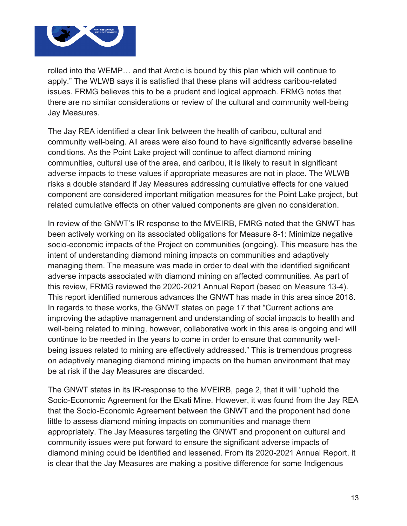

rolled into the WEMP… and that Arctic is bound by this plan which will continue to apply." The WLWB says it is satisfied that these plans will address caribou-related issues. FRMG believes this to be a prudent and logical approach. FRMG notes that there are no similar considerations or review of the cultural and community well-being Jay Measures.

The Jay REA identified a clear link between the health of caribou, cultural and community well-being. All areas were also found to have significantly adverse baseline conditions. As the Point Lake project will continue to affect diamond mining communities, cultural use of the area, and caribou, it is likely to result in significant adverse impacts to these values if appropriate measures are not in place. The WLWB risks a double standard if Jay Measures addressing cumulative effects for one valued component are considered important mitigation measures for the Point Lake project, but related cumulative effects on other valued components are given no consideration.

In review of the GNWT's IR response to the MVEIRB, FMRG noted that the GNWT has been actively working on its associated obligations for Measure 8-1: Minimize negative socio-economic impacts of the Project on communities (ongoing). This measure has the intent of understanding diamond mining impacts on communities and adaptively managing them. The measure was made in order to deal with the identified significant adverse impacts associated with diamond mining on affected communities. As part of this review, FRMG reviewed the 2020-2021 Annual Report (based on Measure 13-4). This report identified numerous advances the GNWT has made in this area since 2018. In regards to these works, the GNWT states on page 17 that "Current actions are improving the adaptive management and understanding of social impacts to health and well-being related to mining, however, collaborative work in this area is ongoing and will continue to be needed in the years to come in order to ensure that community wellbeing issues related to mining are effectively addressed." This is tremendous progress on adaptively managing diamond mining impacts on the human environment that may be at risk if the Jay Measures are discarded.

The GNWT states in its IR-response to the MVEIRB, page 2, that it will "uphold the Socio-Economic Agreement for the Ekati Mine. However, it was found from the Jay REA that the Socio-Economic Agreement between the GNWT and the proponent had done little to assess diamond mining impacts on communities and manage them appropriately. The Jay Measures targeting the GNWT and proponent on cultural and community issues were put forward to ensure the significant adverse impacts of diamond mining could be identified and lessened. From its 2020-2021 Annual Report, it is clear that the Jay Measures are making a positive difference for some Indigenous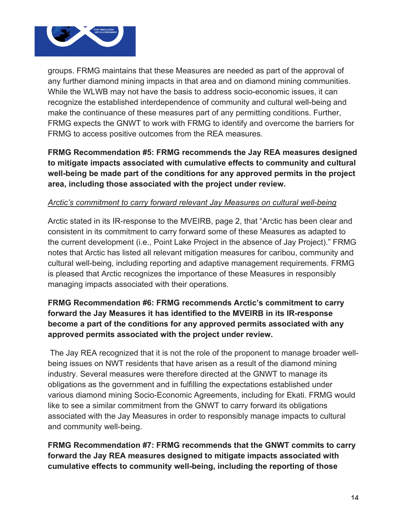

groups. FRMG maintains that these Measures are needed as part of the approval of any further diamond mining impacts in that area and on diamond mining communities. While the WLWB may not have the basis to address socio-economic issues, it can recognize the established interdependence of community and cultural well-being and make the continuance of these measures part of any permitting conditions. Further, FRMG expects the GNWT to work with FRMG to identify and overcome the barriers for FRMG to access positive outcomes from the REA measures.

### **FRMG Recommendation #5: FRMG recommends the Jay REA measures designed to mitigate impacts associated with cumulative effects to community and cultural well-being be made part of the conditions for any approved permits in the project area, including those associated with the project under review.**

#### *Arctic's commitment to carry forward relevant Jay Measures on cultural well-being*

Arctic stated in its IR-response to the MVEIRB, page 2, that "Arctic has been clear and consistent in its commitment to carry forward some of these Measures as adapted to the current development (i.e., Point Lake Project in the absence of Jay Project)." FRMG notes that Arctic has listed all relevant mitigation measures for caribou, community and cultural well-being, including reporting and adaptive management requirements. FRMG is pleased that Arctic recognizes the importance of these Measures in responsibly managing impacts associated with their operations.

### **FRMG Recommendation #6: FRMG recommends Arctic's commitment to carry forward the Jay Measures it has identified to the MVEIRB in its IR-response become a part of the conditions for any approved permits associated with any approved permits associated with the project under review.**

The Jay REA recognized that it is not the role of the proponent to manage broader wellbeing issues on NWT residents that have arisen as a result of the diamond mining industry. Several measures were therefore directed at the GNWT to manage its obligations as the government and in fulfilling the expectations established under various diamond mining Socio-Economic Agreements, including for Ekati. FRMG would like to see a similar commitment from the GNWT to carry forward its obligations associated with the Jay Measures in order to responsibly manage impacts to cultural and community well-being.

**FRMG Recommendation #7: FRMG recommends that the GNWT commits to carry forward the Jay REA measures designed to mitigate impacts associated with cumulative effects to community well-being, including the reporting of those**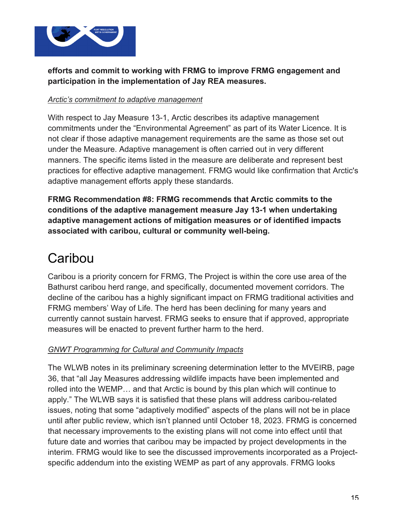

### **efforts and commit to working with FRMG to improve FRMG engagement and participation in the implementation of Jay REA measures.**

#### *Arctic's commitment to adaptive management*

With respect to Jay Measure 13-1, Arctic describes its adaptive management commitments under the "Environmental Agreement" as part of its Water Licence. It is not clear if those adaptive management requirements are the same as those set out under the Measure. Adaptive management is often carried out in very different manners. The specific items listed in the measure are deliberate and represent best practices for effective adaptive management. FRMG would like confirmation that Arctic's adaptive management efforts apply these standards.

**FRMG Recommendation #8: FRMG recommends that Arctic commits to the conditions of the adaptive management measure Jay 13-1 when undertaking adaptive management actions of mitigation measures or of identified impacts associated with caribou, cultural or community well-being.**

### **Caribou**

Caribou is a priority concern for FRMG, The Project is within the core use area of the Bathurst caribou herd range, and specifically, documented movement corridors. The decline of the caribou has a highly significant impact on FRMG traditional activities and FRMG members' Way of Life. The herd has been declining for many years and currently cannot sustain harvest. FRMG seeks to ensure that if approved, appropriate measures will be enacted to prevent further harm to the herd.

#### *GNWT Programming for Cultural and Community Impacts*

The WLWB notes in its preliminary screening determination letter to the MVEIRB, page 36, that "all Jay Measures addressing wildlife impacts have been implemented and rolled into the WEMP… and that Arctic is bound by this plan which will continue to apply." The WLWB says it is satisfied that these plans will address caribou-related issues, noting that some "adaptively modified" aspects of the plans will not be in place until after public review, which isn't planned until October 18, 2023. FRMG is concerned that necessary improvements to the existing plans will not come into effect until that future date and worries that caribou may be impacted by project developments in the interim. FRMG would like to see the discussed improvements incorporated as a Projectspecific addendum into the existing WEMP as part of any approvals. FRMG looks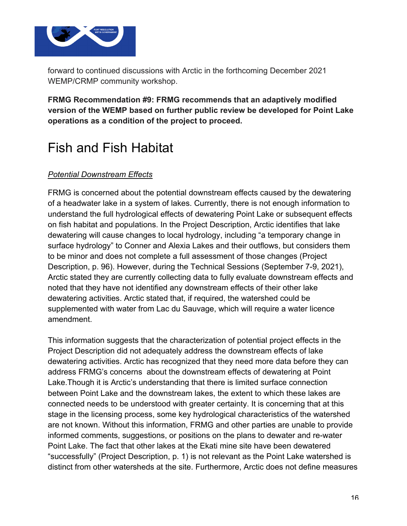

forward to continued discussions with Arctic in the forthcoming December 2021 WEMP/CRMP community workshop.

**FRMG Recommendation #9: FRMG recommends that an adaptively modified version of the WEMP based on further public review be developed for Point Lake operations as a condition of the project to proceed.** 

## Fish and Fish Habitat

#### *Potential Downstream Effects*

FRMG is concerned about the potential downstream effects caused by the dewatering of a headwater lake in a system of lakes. Currently, there is not enough information to understand the full hydrological effects of dewatering Point Lake or subsequent effects on fish habitat and populations. In the Project Description, Arctic identifies that lake dewatering will cause changes to local hydrology, including "a temporary change in surface hydrology" to Conner and Alexia Lakes and their outflows, but considers them to be minor and does not complete a full assessment of those changes (Project Description, p. 96). However, during the Technical Sessions (September 7-9, 2021), Arctic stated they are currently collecting data to fully evaluate downstream effects and noted that they have not identified any downstream effects of their other lake dewatering activities. Arctic stated that, if required, the watershed could be supplemented with water from Lac du Sauvage, which will require a water licence amendment.

This information suggests that the characterization of potential project effects in the Project Description did not adequately address the downstream effects of lake dewatering activities. Arctic has recognized that they need more data before they can address FRMG's concerns about the downstream effects of dewatering at Point Lake.Though it is Arctic's understanding that there is limited surface connection between Point Lake and the downstream lakes, the extent to which these lakes are connected needs to be understood with greater certainty. It is concerning that at this stage in the licensing process, some key hydrological characteristics of the watershed are not known. Without this information, FRMG and other parties are unable to provide informed comments, suggestions, or positions on the plans to dewater and re-water Point Lake. The fact that other lakes at the Ekati mine site have been dewatered "successfully" (Project Description, p. 1) is not relevant as the Point Lake watershed is distinct from other watersheds at the site. Furthermore, Arctic does not define measures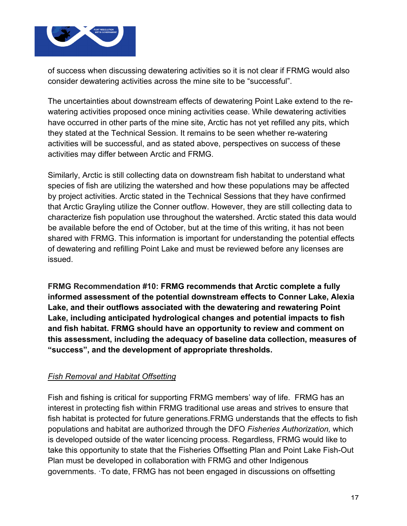

of success when discussing dewatering activities so it is not clear if FRMG would also consider dewatering activities across the mine site to be "successful".

The uncertainties about downstream effects of dewatering Point Lake extend to the rewatering activities proposed once mining activities cease. While dewatering activities have occurred in other parts of the mine site, Arctic has not yet refilled any pits, which they stated at the Technical Session. It remains to be seen whether re-watering activities will be successful, and as stated above, perspectives on success of these activities may differ between Arctic and FRMG.

Similarly, Arctic is still collecting data on downstream fish habitat to understand what species of fish are utilizing the watershed and how these populations may be affected by project activities. Arctic stated in the Technical Sessions that they have confirmed that Arctic Grayling utilize the Conner outflow. However, they are still collecting data to characterize fish population use throughout the watershed. Arctic stated this data would be available before the end of October, but at the time of this writing, it has not been shared with FRMG. This information is important for understanding the potential effects of dewatering and refilling Point Lake and must be reviewed before any licenses are issued.

**FRMG Recommendation #10: FRMG recommends that Arctic complete a fully informed assessment of the potential downstream effects to Conner Lake, Alexia Lake, and their outflows associated with the dewatering and rewatering Point Lake, including anticipated hydrological changes and potential impacts to fish and fish habitat. FRMG should have an opportunity to review and comment on this assessment, including the adequacy of baseline data collection, measures of "success", and the development of appropriate thresholds.** 

#### *Fish Removal and Habitat Offsetting*

Fish and fishing is critical for supporting FRMG members' way of life. FRMG has an interest in protecting fish within FRMG traditional use areas and strives to ensure that fish habitat is protected for future generations.FRMG understands that the effects to fish populations and habitat are authorized through the DFO *Fisheries Authorization,* which is developed outside of the water licencing process. Regardless, FRMG would like to take this opportunity to state that the Fisheries Offsetting Plan and Point Lake Fish-Out Plan must be developed in collaboration with FRMG and other Indigenous governments. ·To date, FRMG has not been engaged in discussions on offsetting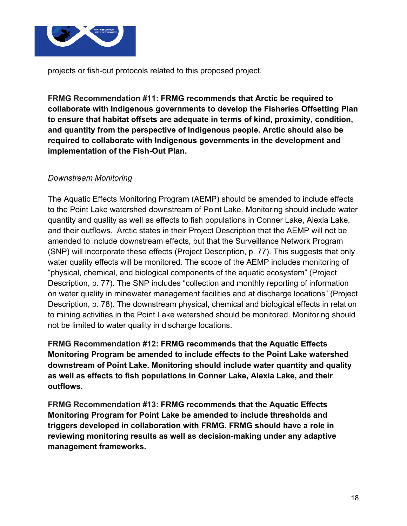

projects or fish-out protocols related to this proposed project.

**FRMG Recommendation #11: FRMG recommends that Arctic be required to collaborate with Indigenous governments to develop the Fisheries Offsetting Plan to ensure that habitat offsets are adequate in terms of kind, proximity, condition, and quantity from the perspective of Indigenous people. Arctic should also be required to collaborate with Indigenous governments in the development and implementation of the Fish-Out Plan.** 

#### *Downstream Monitoring*

The Aquatic Effects Monitoring Program (AEMP) should be amended to include effects to the Point Lake watershed downstream of Point Lake. Monitoring should include water quantity and quality as well as effects to fish populations in Conner Lake, Alexia Lake, and their outflows. Arctic states in their Project Description that the AEMP will not be amended to include downstream effects, but that the Surveillance Network Program (SNP) will incorporate these effects (Project Description, p. 77). This suggests that only water quality effects will be monitored. The scope of the AEMP includes monitoring of "physical, chemical, and biological components of the aquatic ecosystem" (Project Description, p. 77). The SNP includes "collection and monthly reporting of information on water quality in minewater management facilities and at discharge locations" (Project Description, p. 78). The downstream physical, chemical and biological effects in relation to mining activities in the Point Lake watershed should be monitored. Monitoring should not be limited to water quality in discharge locations.

**FRMG Recommendation #12: FRMG recommends that the Aquatic Effects Monitoring Program be amended to include effects to the Point Lake watershed downstream of Point Lake. Monitoring should include water quantity and quality as well as effects to fish populations in Conner Lake, Alexia Lake, and their outflows.**

**FRMG Recommendation #13: FRMG recommends that the Aquatic Effects Monitoring Program for Point Lake be amended to include thresholds and triggers developed in collaboration with FRMG. FRMG should have a role in reviewing monitoring results as well as decision-making under any adaptive management frameworks.**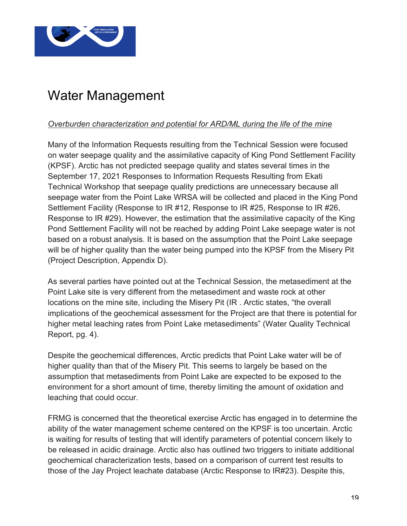

## Water Management

### *Overburden characterization and potential for ARD/ML during the life of the mine*

Many of the Information Requests resulting from the Technical Session were focused on water seepage quality and the assimilative capacity of King Pond Settlement Facility (KPSF). Arctic has not predicted seepage quality and states several times in the September 17, 2021 Responses to Information Requests Resulting from Ekati Technical Workshop that seepage quality predictions are unnecessary because all seepage water from the Point Lake WRSA will be collected and placed in the King Pond Settlement Facility (Response to IR #12, Response to IR #25, Response to IR #26, Response to IR #29). However, the estimation that the assimilative capacity of the King Pond Settlement Facility will not be reached by adding Point Lake seepage water is not based on a robust analysis. It is based on the assumption that the Point Lake seepage will be of higher quality than the water being pumped into the KPSF from the Misery Pit (Project Description, Appendix D).

As several parties have pointed out at the Technical Session, the metasediment at the Point Lake site is very different from the metasediment and waste rock at other locations on the mine site, including the Misery Pit (IR . Arctic states, "the overall implications of the geochemical assessment for the Project are that there is potential for higher metal leaching rates from Point Lake metasediments" (Water Quality Technical Report, pg. 4).

Despite the geochemical differences, Arctic predicts that Point Lake water will be of higher quality than that of the Misery Pit. This seems to largely be based on the assumption that metasediments from Point Lake are expected to be exposed to the environment for a short amount of time, thereby limiting the amount of oxidation and leaching that could occur.

FRMG is concerned that the theoretical exercise Arctic has engaged in to determine the ability of the water management scheme centered on the KPSF is too uncertain. Arctic is waiting for results of testing that will identify parameters of potential concern likely to be released in acidic drainage. Arctic also has outlined two triggers to initiate additional geochemical characterization tests, based on a comparison of current test results to those of the Jay Project leachate database (Arctic Response to IR#23). Despite this,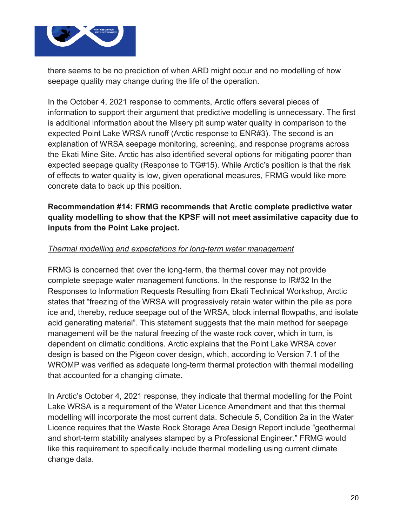

there seems to be no prediction of when ARD might occur and no modelling of how seepage quality may change during the life of the operation.

In the October 4, 2021 response to comments, Arctic offers several pieces of information to support their argument that predictive modelling is unnecessary. The first is additional information about the Misery pit sump water quality in comparison to the expected Point Lake WRSA runoff (Arctic response to ENR#3). The second is an explanation of WRSA seepage monitoring, screening, and response programs across the Ekati Mine Site. Arctic has also identified several options for mitigating poorer than expected seepage quality (Response to TG#15). While Arctic's position is that the risk of effects to water quality is low, given operational measures, FRMG would like more concrete data to back up this position.

### **Recommendation #14: FRMG recommends that Arctic complete predictive water quality modelling to show that the KPSF will not meet assimilative capacity due to inputs from the Point Lake project.**

#### *Thermal modelling and expectations for long-term water management*

FRMG is concerned that over the long-term, the thermal cover may not provide complete seepage water management functions. In the response to IR#32 In the Responses to Information Requests Resulting from Ekati Technical Workshop, Arctic states that "freezing of the WRSA will progressively retain water within the pile as pore ice and, thereby, reduce seepage out of the WRSA, block internal flowpaths, and isolate acid generating material". This statement suggests that the main method for seepage management will be the natural freezing of the waste rock cover, which in turn, is dependent on climatic conditions. Arctic explains that the Point Lake WRSA cover design is based on the Pigeon cover design, which, according to Version 7.1 of the WROMP was verified as adequate long-term thermal protection with thermal modelling that accounted for a changing climate.

In Arctic's October 4, 2021 response, they indicate that thermal modelling for the Point Lake WRSA is a requirement of the Water Licence Amendment and that this thermal modelling will incorporate the most current data. Schedule 5, Condition 2a in the Water Licence requires that the Waste Rock Storage Area Design Report include "geothermal and short-term stability analyses stamped by a Professional Engineer." FRMG would like this requirement to specifically include thermal modelling using current climate change data.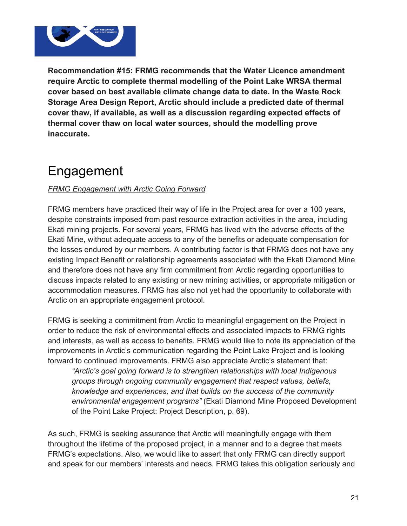

**Recommendation #15: FRMG recommends that the Water Licence amendment require Arctic to complete thermal modelling of the Point Lake WRSA thermal cover based on best available climate change data to date. In the Waste Rock Storage Area Design Report, Arctic should include a predicted date of thermal cover thaw, if available, as well as a discussion regarding expected effects of thermal cover thaw on local water sources, should the modelling prove inaccurate.**

## Engagement

#### *FRMG Engagement with Arctic Going Forward*

FRMG members have practiced their way of life in the Project area for over a 100 years, despite constraints imposed from past resource extraction activities in the area, including Ekati mining projects. For several years, FRMG has lived with the adverse effects of the Ekati Mine, without adequate access to any of the benefits or adequate compensation for the losses endured by our members. A contributing factor is that FRMG does not have any existing Impact Benefit or relationship agreements associated with the Ekati Diamond Mine and therefore does not have any firm commitment from Arctic regarding opportunities to discuss impacts related to any existing or new mining activities, or appropriate mitigation or accommodation measures. FRMG has also not yet had the opportunity to collaborate with Arctic on an appropriate engagement protocol.

FRMG is seeking a commitment from Arctic to meaningful engagement on the Project in order to reduce the risk of environmental effects and associated impacts to FRMG rights and interests, as well as access to benefits. FRMG would like to note its appreciation of the improvements in Arctic's communication regarding the Point Lake Project and is looking forward to continued improvements. FRMG also appreciate Arctic's statement that:

*"Arctic's goal going forward is to strengthen relationships with local Indigenous groups through ongoing community engagement that respect values, beliefs, knowledge and experiences, and that builds on the success of the community environmental engagement programs"* (Ekati Diamond Mine Proposed Development of the Point Lake Project: Project Description, p. 69).

As such, FRMG is seeking assurance that Arctic will meaningfully engage with them throughout the lifetime of the proposed project, in a manner and to a degree that meets FRMG's expectations. Also, we would like to assert that only FRMG can directly support and speak for our members' interests and needs. FRMG takes this obligation seriously and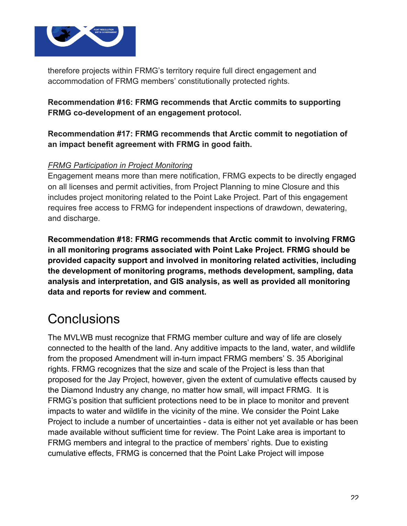

therefore projects within FRMG's territory require full direct engagement and accommodation of FRMG members' constitutionally protected rights.

**Recommendation #16: FRMG recommends that Arctic commits to supporting FRMG co-development of an engagement protocol.**

**Recommendation #17: FRMG recommends that Arctic commit to negotiation of an impact benefit agreement with FRMG in good faith.**

#### *FRMG Participation in Project Monitoring*

Engagement means more than mere notification, FRMG expects to be directly engaged on all licenses and permit activities, from Project Planning to mine Closure and this includes project monitoring related to the Point Lake Project. Part of this engagement requires free access to FRMG for independent inspections of drawdown, dewatering, and discharge.

**Recommendation #18: FRMG recommends that Arctic commit to involving FRMG in all monitoring programs associated with Point Lake Project. FRMG should be provided capacity support and involved in monitoring related activities, including the development of monitoring programs, methods development, sampling, data analysis and interpretation, and GIS analysis, as well as provided all monitoring data and reports for review and comment.**

### **Conclusions**

The MVLWB must recognize that FRMG member culture and way of life are closely connected to the health of the land. Any additive impacts to the land, water, and wildlife from the proposed Amendment will in-turn impact FRMG members' S. 35 Aboriginal rights. FRMG recognizes that the size and scale of the Project is less than that proposed for the Jay Project, however, given the extent of cumulative effects caused by the Diamond Industry any change, no matter how small, will impact FRMG. It is FRMG's position that sufficient protections need to be in place to monitor and prevent impacts to water and wildlife in the vicinity of the mine. We consider the Point Lake Project to include a number of uncertainties - data is either not yet available or has been made available without sufficient time for review. The Point Lake area is important to FRMG members and integral to the practice of members' rights. Due to existing cumulative effects, FRMG is concerned that the Point Lake Project will impose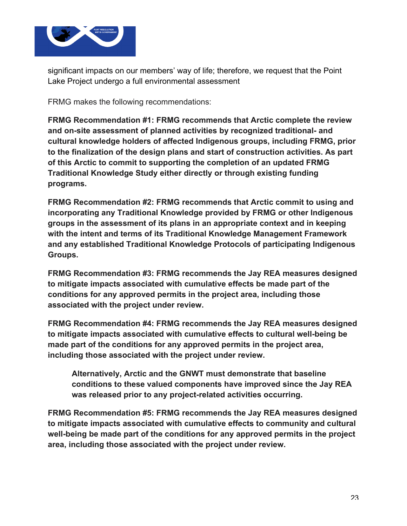

significant impacts on our members' way of life; therefore, we request that the Point Lake Project undergo a full environmental assessment

FRMG makes the following recommendations:

**FRMG Recommendation #1: FRMG recommends that Arctic complete the review and on-site assessment of planned activities by recognized traditional- and cultural knowledge holders of affected Indigenous groups, including FRMG, prior to the finalization of the design plans and start of construction activities. As part of this Arctic to commit to supporting the completion of an updated FRMG Traditional Knowledge Study either directly or through existing funding programs.**

**FRMG Recommendation #2: FRMG recommends that Arctic commit to using and incorporating any Traditional Knowledge provided by FRMG or other Indigenous groups in the assessment of its plans in an appropriate context and in keeping with the intent and terms of its Traditional Knowledge Management Framework and any established Traditional Knowledge Protocols of participating Indigenous Groups.**

**FRMG Recommendation #3: FRMG recommends the Jay REA measures designed to mitigate impacts associated with cumulative effects be made part of the conditions for any approved permits in the project area, including those associated with the project under review.**

**FRMG Recommendation #4: FRMG recommends the Jay REA measures designed to mitigate impacts associated with cumulative effects to cultural well-being be made part of the conditions for any approved permits in the project area, including those associated with the project under review.**

**Alternatively, Arctic and the GNWT must demonstrate that baseline conditions to these valued components have improved since the Jay REA was released prior to any project-related activities occurring.**

**FRMG Recommendation #5: FRMG recommends the Jay REA measures designed to mitigate impacts associated with cumulative effects to community and cultural well-being be made part of the conditions for any approved permits in the project area, including those associated with the project under review.**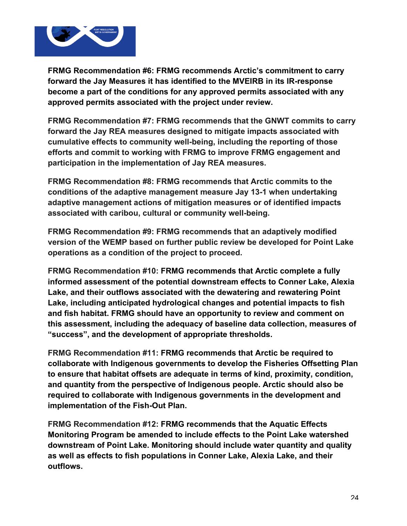

**FRMG Recommendation #6: FRMG recommends Arctic's commitment to carry forward the Jay Measures it has identified to the MVEIRB in its IR-response become a part of the conditions for any approved permits associated with any approved permits associated with the project under review.**

**FRMG Recommendation #7: FRMG recommends that the GNWT commits to carry forward the Jay REA measures designed to mitigate impacts associated with cumulative effects to community well-being, including the reporting of those efforts and commit to working with FRMG to improve FRMG engagement and participation in the implementation of Jay REA measures.**

**FRMG Recommendation #8: FRMG recommends that Arctic commits to the conditions of the adaptive management measure Jay 13-1 when undertaking adaptive management actions of mitigation measures or of identified impacts associated with caribou, cultural or community well-being.**

**FRMG Recommendation #9: FRMG recommends that an adaptively modified version of the WEMP based on further public review be developed for Point Lake operations as a condition of the project to proceed.** 

**FRMG Recommendation #10: FRMG recommends that Arctic complete a fully informed assessment of the potential downstream effects to Conner Lake, Alexia Lake, and their outflows associated with the dewatering and rewatering Point Lake, including anticipated hydrological changes and potential impacts to fish and fish habitat. FRMG should have an opportunity to review and comment on this assessment, including the adequacy of baseline data collection, measures of "success", and the development of appropriate thresholds.** 

**FRMG Recommendation #11: FRMG recommends that Arctic be required to collaborate with Indigenous governments to develop the Fisheries Offsetting Plan to ensure that habitat offsets are adequate in terms of kind, proximity, condition, and quantity from the perspective of Indigenous people. Arctic should also be required to collaborate with Indigenous governments in the development and implementation of the Fish-Out Plan.** 

**FRMG Recommendation #12: FRMG recommends that the Aquatic Effects Monitoring Program be amended to include effects to the Point Lake watershed downstream of Point Lake. Monitoring should include water quantity and quality as well as effects to fish populations in Conner Lake, Alexia Lake, and their outflows.**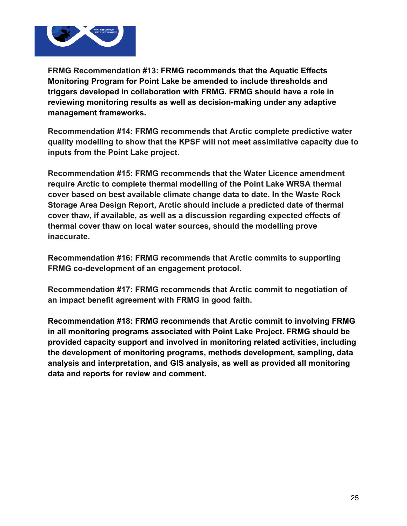

**FRMG Recommendation #13: FRMG recommends that the Aquatic Effects Monitoring Program for Point Lake be amended to include thresholds and triggers developed in collaboration with FRMG. FRMG should have a role in reviewing monitoring results as well as decision-making under any adaptive management frameworks.** 

**Recommendation #14: FRMG recommends that Arctic complete predictive water quality modelling to show that the KPSF will not meet assimilative capacity due to inputs from the Point Lake project.**

**Recommendation #15: FRMG recommends that the Water Licence amendment require Arctic to complete thermal modelling of the Point Lake WRSA thermal cover based on best available climate change data to date. In the Waste Rock Storage Area Design Report, Arctic should include a predicted date of thermal cover thaw, if available, as well as a discussion regarding expected effects of thermal cover thaw on local water sources, should the modelling prove inaccurate.**

**Recommendation #16: FRMG recommends that Arctic commits to supporting FRMG co-development of an engagement protocol.**

**Recommendation #17: FRMG recommends that Arctic commit to negotiation of an impact benefit agreement with FRMG in good faith.**

**Recommendation #18: FRMG recommends that Arctic commit to involving FRMG in all monitoring programs associated with Point Lake Project. FRMG should be provided capacity support and involved in monitoring related activities, including the development of monitoring programs, methods development, sampling, data analysis and interpretation, and GIS analysis, as well as provided all monitoring data and reports for review and comment.**